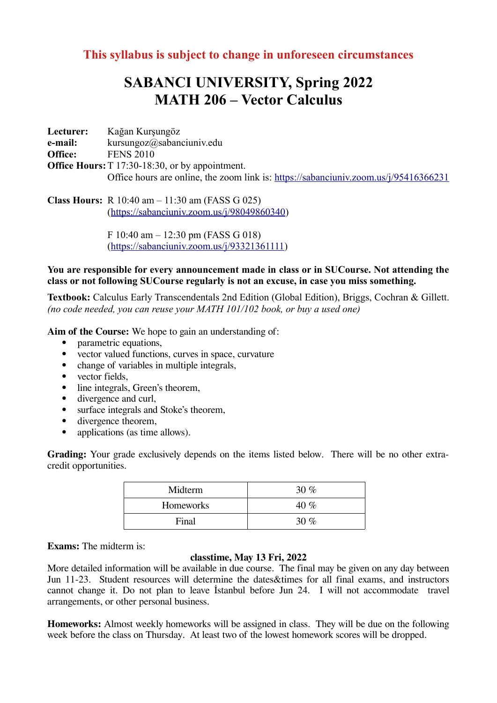## **This syllabus is subject to change in unforeseen circumstances**

## **SABANCI UNIVERSITY, Spring 2022 MATH 206 – Vector Calculus**

**Lecturer:** Kağan Kurşungöz **e-mail:** kursungoz@sabanciuniv.edu **Office:** FENS 2010 **Office Hours:** T 17:30-18:30, or by appointment. Office hours are online, the zoom link is: <https://sabanciuniv.zoom.us/j/95416366231>

**Class Hours:** R 10:40 am – 11:30 am (FASS G 025) (<https://sabanciuniv.zoom.us/j/98049860340>)

> F 10:40 am – 12:30 pm (FASS G 018) ([https://sabanciuniv.zoom.us/j/93321361111\)](https://sabanciuniv.zoom.us/j/93321361111)

## **You are responsible for every announcement made in class or in SUCourse. Not attending the class or not following SUCourse regularly is not an excuse, in case you miss something.**

**Textbook:** Calculus Early Transcendentals 2nd Edition (Global Edition), Briggs, Cochran & Gillett. *(no code needed, you can reuse your MATH 101/102 book, or buy a used one)*

**Aim of the Course:** We hope to gain an understanding of:

- parametric equations,
- vector valued functions, curves in space, curvature
- change of variables in multiple integrals,
- vector fields.
- line integrals, Green's theorem,<br>• divergence and curl
- divergence and curl,
- surface integrals and Stoke's theorem,
- divergence theorem,
- applications (as time allows).

**Grading:** Your grade exclusively depends on the items listed below. There will be no other extracredit opportunities.

| Midterm          | $30\%$ |
|------------------|--------|
| <b>Homeworks</b> | 40 %   |
| Final            | $30\%$ |

**Exams:** The midterm is:

## **classtime, May 13 Fri, 2022**

More detailed information will be available in due course. The final may be given on any day between Jun 11-23. Student resources will determine the dates & times for all final exams, and instructors cannot change it. Do not plan to leave İstanbul before Jun 24. I will not accommodate travel arrangements, or other personal business.

**Homeworks:** Almost weekly homeworks will be assigned in class. They will be due on the following week before the class on Thursday. At least two of the lowest homework scores will be dropped.